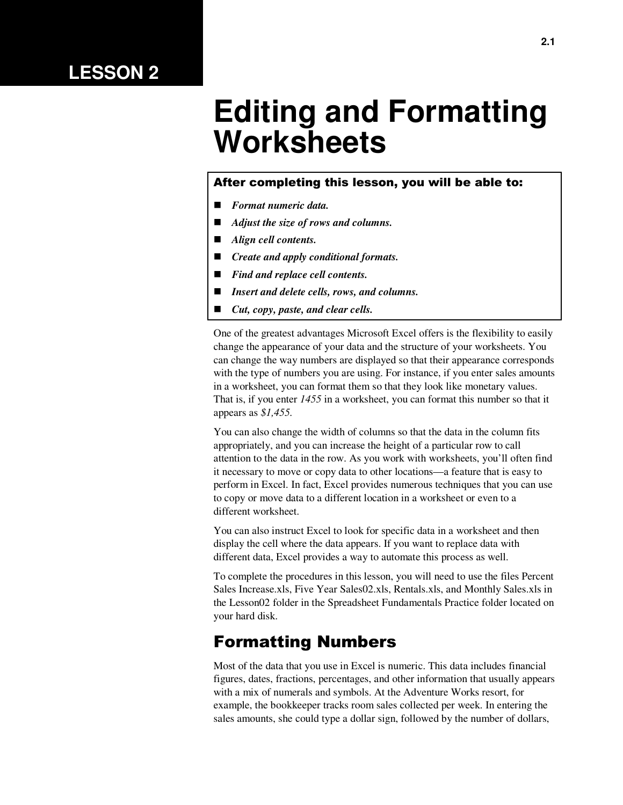### **LESSON 2**

# **Editing and Formatting Worksheets**

#### After completing this lesson, you will be able to:

- *Format numeric data.*
- *Adjust the size of rows and columns.*
- *Align cell contents.*
- *Create and apply conditional formats.*
- *Find and replace cell contents.*
- *Insert and delete cells, rows, and columns.*
- *Cut, copy, paste, and clear cells.*

One of the greatest advantages Microsoft Excel offers is the flexibility to easily change the appearance of your data and the structure of your worksheets. You can change the way numbers are displayed so that their appearance corresponds with the type of numbers you are using. For instance, if you enter sales amounts in a worksheet, you can format them so that they look like monetary values. That is, if you enter *1455* in a worksheet, you can format this number so that it appears as *\$1,455.*

You can also change the width of columns so that the data in the column fits appropriately, and you can increase the height of a particular row to call attention to the data in the row. As you work with worksheets, you'll often find it necessary to move or copy data to other locations—a feature that is easy to perform in Excel. In fact, Excel provides numerous techniques that you can use to copy or move data to a different location in a worksheet or even to a different worksheet.

You can also instruct Excel to look for specific data in a worksheet and then display the cell where the data appears. If you want to replace data with different data, Excel provides a way to automate this process as well.

To complete the procedures in this lesson, you will need to use the files Percent Sales Increase.xls, Five Year Sales02.xls, Rentals.xls, and Monthly Sales.xls in the Lesson02 folder in the Spreadsheet Fundamentals Practice folder located on your hard disk.

### Formatting Numbers

Most of the data that you use in Excel is numeric. This data includes financial figures, dates, fractions, percentages, and other information that usually appears with a mix of numerals and symbols. At the Adventure Works resort, for example, the bookkeeper tracks room sales collected per week. In entering the sales amounts, she could type a dollar sign, followed by the number of dollars,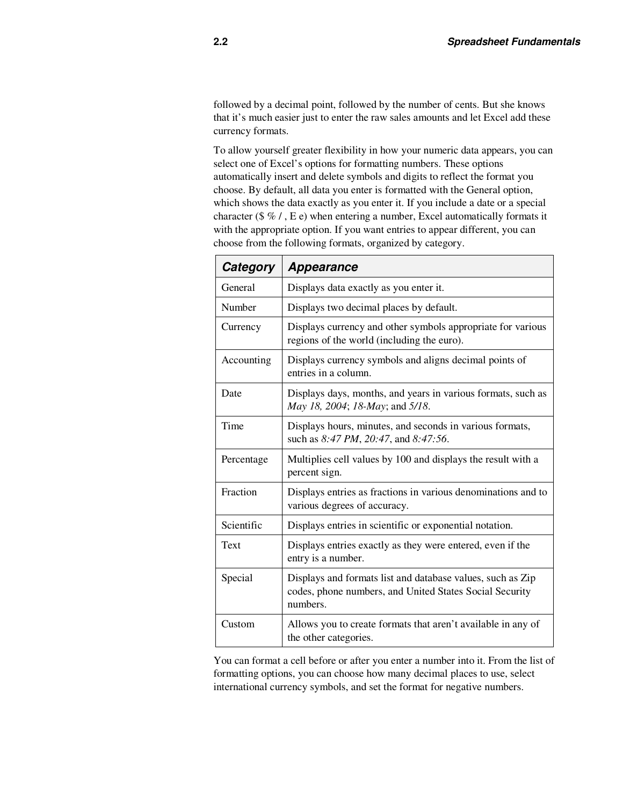followed by a decimal point, followed by the number of cents. But she knows that it's much easier just to enter the raw sales amounts and let Excel add these currency formats.

To allow yourself greater flexibility in how your numeric data appears, you can select one of Excel's options for formatting numbers. These options automatically insert and delete symbols and digits to reflect the format you choose. By default, all data you enter is formatted with the General option, which shows the data exactly as you enter it. If you include a date or a special character (\$ % / , E e) when entering a number, Excel automatically formats it with the appropriate option. If you want entries to appear different, you can choose from the following formats, organized by category.

| Category   | <b>Appearance</b>                                                                                                                 |
|------------|-----------------------------------------------------------------------------------------------------------------------------------|
| General    | Displays data exactly as you enter it.                                                                                            |
| Number     | Displays two decimal places by default.                                                                                           |
| Currency   | Displays currency and other symbols appropriate for various<br>regions of the world (including the euro).                         |
| Accounting | Displays currency symbols and aligns decimal points of<br>entries in a column.                                                    |
| Date       | Displays days, months, and years in various formats, such as<br>May 18, 2004; 18-May; and 5/18.                                   |
| Time       | Displays hours, minutes, and seconds in various formats,<br>such as 8:47 PM, 20:47, and 8:47:56.                                  |
| Percentage | Multiplies cell values by 100 and displays the result with a<br>percent sign.                                                     |
| Fraction   | Displays entries as fractions in various denominations and to<br>various degrees of accuracy.                                     |
| Scientific | Displays entries in scientific or exponential notation.                                                                           |
| Text       | Displays entries exactly as they were entered, even if the<br>entry is a number.                                                  |
| Special    | Displays and formats list and database values, such as Zip<br>codes, phone numbers, and United States Social Security<br>numbers. |
| Custom     | Allows you to create formats that aren't available in any of<br>the other categories.                                             |

You can format a cell before or after you enter a number into it. From the list of formatting options, you can choose how many decimal places to use, select international currency symbols, and set the format for negative numbers.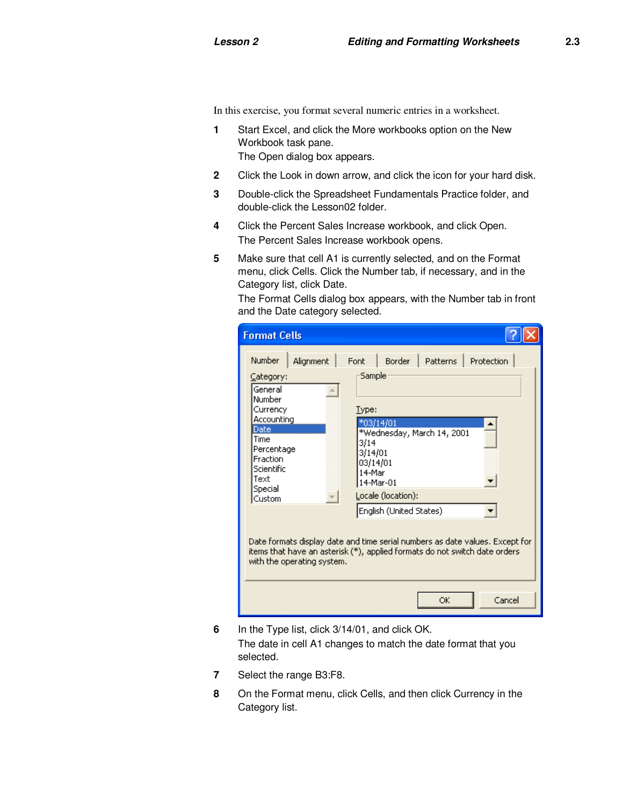In this exercise, you format several numeric entries in a worksheet.

- **1** Start Excel, and click the More workbooks option on the New Workbook task pane. The Open dialog box appears.
- **2** Click the Look in down arrow, and click the icon for your hard disk.
- **3** Double-click the Spreadsheet Fundamentals Practice folder, and double-click the Lesson02 folder.
- **4** Click the Percent Sales Increase workbook, and click Open. The Percent Sales Increase workbook opens.
- **5** Make sure that cell A1 is currently selected, and on the Format menu, click Cells. Click the Number tab, if necessary, and in the Category list, click Date.

The Format Cells dialog box appears, with the Number tab in front and the Date category selected.

| <b>Format Cells</b>                                                                                                                                                                |                                                                                                                                                                                             |        |
|------------------------------------------------------------------------------------------------------------------------------------------------------------------------------------|---------------------------------------------------------------------------------------------------------------------------------------------------------------------------------------------|--------|
| <b>Number</b><br>Alignment<br>Category:<br>General<br>Number<br>Currency<br>Accounting<br>Date<br><b>Time</b><br>Percentage<br>Fraction<br>Scientific<br>Text<br>Special<br>Custom | Border  <br>Patterns   Protection<br>Font<br>Sample<br>Type:<br>*03/14/01<br>*Wednesday, March 14, 2001<br>3/14<br>3/14/01<br>03/14/01<br>14-Mar<br>14-Mar-01<br>Locale (location):         |        |
| with the operating system.                                                                                                                                                         | English (United States)<br>Date formats display date and time serial numbers as date values. Except for<br>items that have an asterisk (*), applied formats do not switch date orders<br>ОK | Cancel |

- **6** In the Type list, click 3/14/01, and click OK. The date in cell A1 changes to match the date format that you
- **7** Select the range B3:F8.

selected.

**8** On the Format menu, click Cells, and then click Currency in the Category list.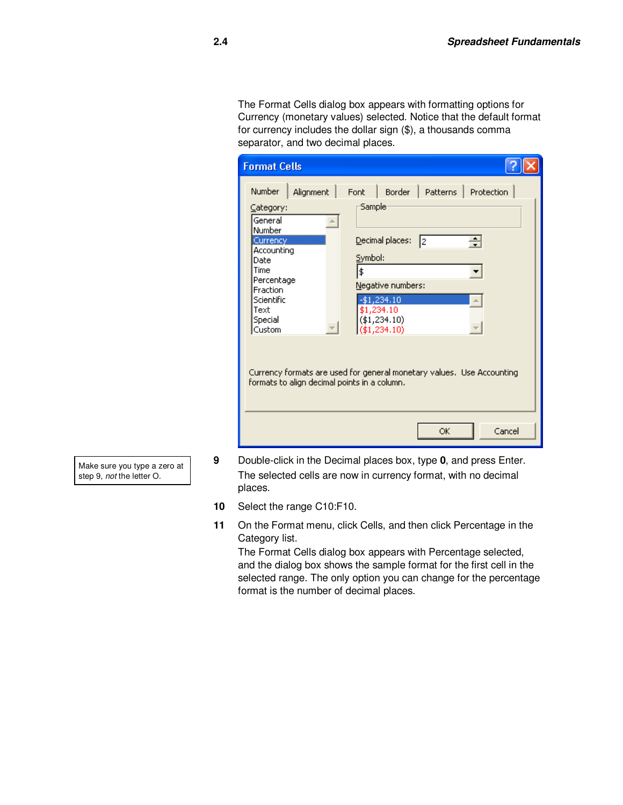The Format Cells dialog box appears with formatting options for Currency (monetary values) selected. Notice that the default format for currency includes the dollar sign (\$), a thousands comma separator, and two decimal places.

| <b>Format Cells</b>                                                                                                                                                          |                                                           |                                   |                                                                                                               |     |                                                                                                     |  |
|------------------------------------------------------------------------------------------------------------------------------------------------------------------------------|-----------------------------------------------------------|-----------------------------------|---------------------------------------------------------------------------------------------------------------|-----|-----------------------------------------------------------------------------------------------------|--|
| <b>Number</b><br>Category:<br>General<br>Number<br>Currency<br>Accounting<br>Date<br><b>Time</b><br>Percentage<br><b>Fraction</b><br>Scientific<br>Text<br>Special<br>Custom | Alignment<br>formats to align decimal points in a column. | Font<br>Sample:<br>Symbol:<br>l\$ | Border  <br>Decimal places:<br>Negative numbers:<br>-\$1,234.10<br>\$1,234.10<br>(41, 234.10)<br>(41, 234.10) | I2. | Patterns   Protection<br>÷<br>Currency formats are used for general monetary values. Use Accounting |  |
|                                                                                                                                                                              |                                                           |                                   |                                                                                                               | ОK  | Cancel                                                                                              |  |

Make sure you type a zero at step 9, not the letter O.

- **9** Double-click in the Decimal places box, type **0**, and press Enter. The selected cells are now in currency format, with no decimal places.
- **10** Select the range C10:F10.
- **11** On the Format menu, click Cells, and then click Percentage in the Category list.

The Format Cells dialog box appears with Percentage selected, and the dialog box shows the sample format for the first cell in the selected range. The only option you can change for the percentage format is the number of decimal places.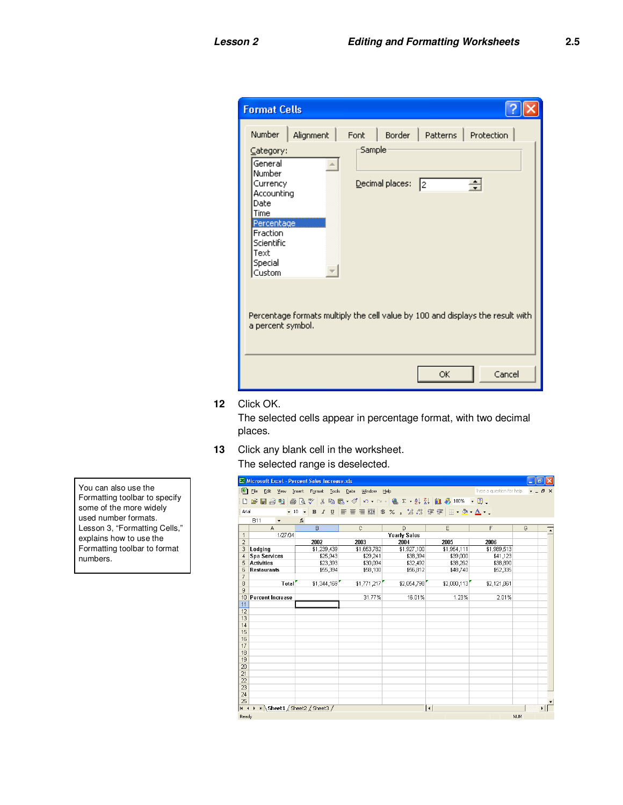| <b>Format Cells</b>                                                                                                                                                                                                                                                                                                                                               |
|-------------------------------------------------------------------------------------------------------------------------------------------------------------------------------------------------------------------------------------------------------------------------------------------------------------------------------------------------------------------|
| Number<br>Border<br>Alignment<br>Font<br>Patterns  <br>Protection<br>Sample<br>Category:<br>General<br>Number<br>Decimal places:<br>÷<br>Currency<br>I2<br>Accounting<br>Date<br>Time<br>Percentage<br>Fraction<br>Scientific<br>Text<br>Special<br>Custom<br>Percentage formats multiply the cell value by 100 and displays the result with<br>a percent symbol. |
| Cancel<br>ОК                                                                                                                                                                                                                                                                                                                                                      |

**12** Click OK.

The selected cells appear in percentage format, with two decimal places.

**13** Click any blank cell in the worksheet. The selected range is deselected.

|                 |                     | Microsoft Excel - Percent Sales Increase.xls                                                                                                                                                                                                                        |       |                          |              |          |                                              |              |                      |                          |            | Đ                |
|-----------------|---------------------|---------------------------------------------------------------------------------------------------------------------------------------------------------------------------------------------------------------------------------------------------------------------|-------|--------------------------|--------------|----------|----------------------------------------------|--------------|----------------------|--------------------------|------------|------------------|
| 图               | Eile                | Edit<br>View                                                                                                                                                                                                                                                        |       | Insert                   | Format Tools |          | Data<br>Window                               | Help         |                      | Type a question for help |            | $\mathsf{x}$     |
| $\Box$          |                     | $\leq$ . $\leq$ $\leq$ $\leq$ $\leq$ $\leq$ $\leq$ $\leq$ $\leq$ $\leq$ $\leq$ $\leq$ $\leq$ $\leq$ $\leq$ $\leq$ $\leq$ $\leq$ $\leq$ $\leq$ $\leq$ $\leq$ $\leq$ $\leq$ $\leq$ $\leq$ $\leq$ $\leq$ $\leq$ $\leq$ $\leq$ $\leq$ $\leq$ $\leq$ $\leq$ $\leq$ $\le$ |       |                          |              |          | <b>电电 ダ ロ ー ( ● Σ - 2 ↓ 2 ) 阻 4 100% - 2</b> |              |                      |                          |            |                  |
| Arial           |                     |                                                                                                                                                                                                                                                                     | $-10$ | $\overline{\phantom{a}}$ |              |          |                                              |              |                      |                          |            |                  |
|                 | <b>B11</b>          | ۰                                                                                                                                                                                                                                                                   |       | $f_X$                    |              |          |                                              |              |                      |                          |            |                  |
|                 |                     | A                                                                                                                                                                                                                                                                   |       |                          | B            |          | C                                            | D            | E                    | F                        | G          | $\blacktriangle$ |
| $\mathbf{1}$    |                     | 1/27/04                                                                                                                                                                                                                                                             |       |                          |              |          |                                              | Yearly Sales |                      |                          |            |                  |
| $\overline{2}$  |                     |                                                                                                                                                                                                                                                                     |       |                          | 2002         |          | 2003                                         | 2004         | 2005                 | 2006                     |            |                  |
| 3               | Lodging             |                                                                                                                                                                                                                                                                     |       |                          | \$1,239,439  |          | \$1,653,782                                  | \$1,927,100  | \$1,954,111          | \$1,989,513              |            |                  |
| $\overline{4}$  | <b>Spa Services</b> |                                                                                                                                                                                                                                                                     |       |                          |              | \$25,943 | \$29,241                                     | \$38,394     | \$39,000             | \$41,123                 |            |                  |
| 5               | <b>Activities</b>   |                                                                                                                                                                                                                                                                     |       |                          |              | \$23,393 | \$30.094                                     | \$32,492     | \$38,262             | \$38,890                 |            |                  |
| 6               | <b>Restaurants</b>  |                                                                                                                                                                                                                                                                     |       |                          |              | \$55.394 | \$58,100                                     | \$56.812     | \$48.740             | \$52.335                 |            |                  |
| 7               |                     |                                                                                                                                                                                                                                                                     |       |                          |              |          |                                              |              |                      |                          |            |                  |
| 8               |                     |                                                                                                                                                                                                                                                                     | Total |                          | \$1,344,169  |          | \$1,771,217                                  | \$2,054,798  | \$2,080,113          | \$2,121,861              |            |                  |
| 9               |                     |                                                                                                                                                                                                                                                                     |       |                          |              |          |                                              |              |                      |                          |            |                  |
| 10              |                     | <b>Percent Increase</b>                                                                                                                                                                                                                                             |       |                          |              |          | 31.77%                                       | 16.01%       | 1.23%                | 2.01%                    |            |                  |
| 11<br>12        |                     |                                                                                                                                                                                                                                                                     |       |                          |              |          |                                              |              |                      |                          |            |                  |
| 13              |                     |                                                                                                                                                                                                                                                                     |       |                          |              |          |                                              |              |                      |                          |            |                  |
| 14              |                     |                                                                                                                                                                                                                                                                     |       |                          |              |          |                                              |              |                      |                          |            |                  |
| 15              |                     |                                                                                                                                                                                                                                                                     |       |                          |              |          |                                              |              |                      |                          |            |                  |
| 16              |                     |                                                                                                                                                                                                                                                                     |       |                          |              |          |                                              |              |                      |                          |            |                  |
| 17              |                     |                                                                                                                                                                                                                                                                     |       |                          |              |          |                                              |              |                      |                          |            |                  |
| 18              |                     |                                                                                                                                                                                                                                                                     |       |                          |              |          |                                              |              |                      |                          |            |                  |
| 19              |                     |                                                                                                                                                                                                                                                                     |       |                          |              |          |                                              |              |                      |                          |            |                  |
| 20              |                     |                                                                                                                                                                                                                                                                     |       |                          |              |          |                                              |              |                      |                          |            |                  |
| 21              |                     |                                                                                                                                                                                                                                                                     |       |                          |              |          |                                              |              |                      |                          |            |                  |
| 22              |                     |                                                                                                                                                                                                                                                                     |       |                          |              |          |                                              |              |                      |                          |            |                  |
| 23              |                     |                                                                                                                                                                                                                                                                     |       |                          |              |          |                                              |              |                      |                          |            |                  |
| 24              |                     |                                                                                                                                                                                                                                                                     |       |                          |              |          |                                              |              |                      |                          |            |                  |
| $\overline{25}$ |                     |                                                                                                                                                                                                                                                                     |       |                          |              |          |                                              |              |                      |                          |            |                  |
| let et          |                     | N Sheet1 / Sheet2 / Sheet3 /                                                                                                                                                                                                                                        |       |                          |              |          |                                              |              | $\overline{\bullet}$ |                          |            |                  |
| Ready           |                     |                                                                                                                                                                                                                                                                     |       |                          |              |          |                                              |              |                      |                          | <b>NUM</b> |                  |

You can also use the Formatting toolbar to specify some of the more widely used number formats. Lesson 3, "Formatting Cells," explains how to use the Formatting toolbar to format numbers.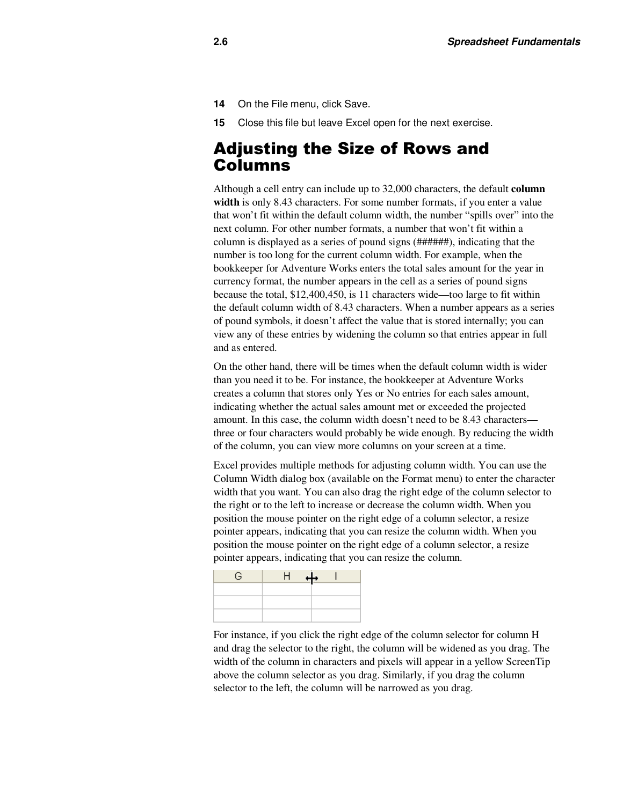- **14** On the File menu, click Save.
- **15** Close this file but leave Excel open for the next exercise.

### Adjusting the Size of Rows and Columns

Although a cell entry can include up to 32,000 characters, the default **column**  width is only 8.43 characters. For some number formats, if you enter a value that won't fit within the default column width, the number "spills over" into the next column. For other number formats, a number that won't fit within a column is displayed as a series of pound signs (######), indicating that the number is too long for the current column width. For example, when the bookkeeper for Adventure Works enters the total sales amount for the year in currency format, the number appears in the cell as a series of pound signs because the total, \$12,400,450, is 11 characters wide—too large to fit within the default column width of 8.43 characters. When a number appears as a series of pound symbols, it doesn't affect the value that is stored internally; you can view any of these entries by widening the column so that entries appear in full and as entered.

On the other hand, there will be times when the default column width is wider than you need it to be. For instance, the bookkeeper at Adventure Works creates a column that stores only Yes or No entries for each sales amount, indicating whether the actual sales amount met or exceeded the projected amount. In this case, the column width doesn't need to be 8.43 characters three or four characters would probably be wide enough. By reducing the width of the column, you can view more columns on your screen at a time.

Excel provides multiple methods for adjusting column width. You can use the Column Width dialog box (available on the Format menu) to enter the character width that you want. You can also drag the right edge of the column selector to the right or to the left to increase or decrease the column width. When you position the mouse pointer on the right edge of a column selector, a resize pointer appears, indicating that you can resize the column width. When you position the mouse pointer on the right edge of a column selector, a resize pointer appears, indicating that you can resize the column.

| G. | ┪<br> |  |
|----|-------|--|
|    |       |  |
|    |       |  |
|    |       |  |

For instance, if you click the right edge of the column selector for column H and drag the selector to the right, the column will be widened as you drag. The width of the column in characters and pixels will appear in a yellow ScreenTip above the column selector as you drag. Similarly, if you drag the column selector to the left, the column will be narrowed as you drag.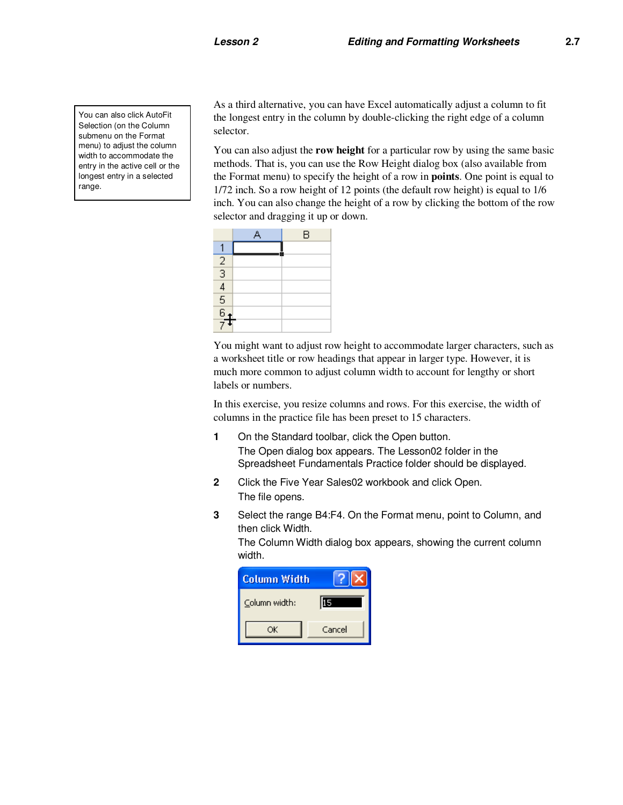You can also click AutoFit Selection (on the Column submenu on the Format menu) to adjust the column width to accommodate the entry in the active cell or the longest entry in a selected range.

As a third alternative, you can have Excel automatically adjust a column to fit the longest entry in the column by double-clicking the right edge of a column selector.

You can also adjust the **row height** for a particular row by using the same basic methods. That is, you can use the Row Height dialog box (also available from the Format menu) to specify the height of a row in **points**. One point is equal to 1/72 inch. So a row height of 12 points (the default row height) is equal to 1/6 inch. You can also change the height of a row by clicking the bottom of the row selector and dragging it up or down.

|                                                                  | B |
|------------------------------------------------------------------|---|
|                                                                  |   |
|                                                                  |   |
| $\frac{2}{3}$<br>$\frac{3}{4}$<br>$\frac{6}{5}$<br>$\frac{6}{7}$ |   |
|                                                                  |   |
|                                                                  |   |
|                                                                  |   |
|                                                                  |   |

You might want to adjust row height to accommodate larger characters, such as a worksheet title or row headings that appear in larger type. However, it is much more common to adjust column width to account for lengthy or short labels or numbers.

In this exercise, you resize columns and rows. For this exercise, the width of columns in the practice file has been preset to 15 characters.

- **1** On the Standard toolbar, click the Open button. The Open dialog box appears. The Lesson02 folder in the Spreadsheet Fundamentals Practice folder should be displayed.
- **2** Click the Five Year Sales02 workbook and click Open. The file opens.
- **3** Select the range B4:F4. On the Format menu, point to Column, and then click Width.

The Column Width dialog box appears, showing the current column width.

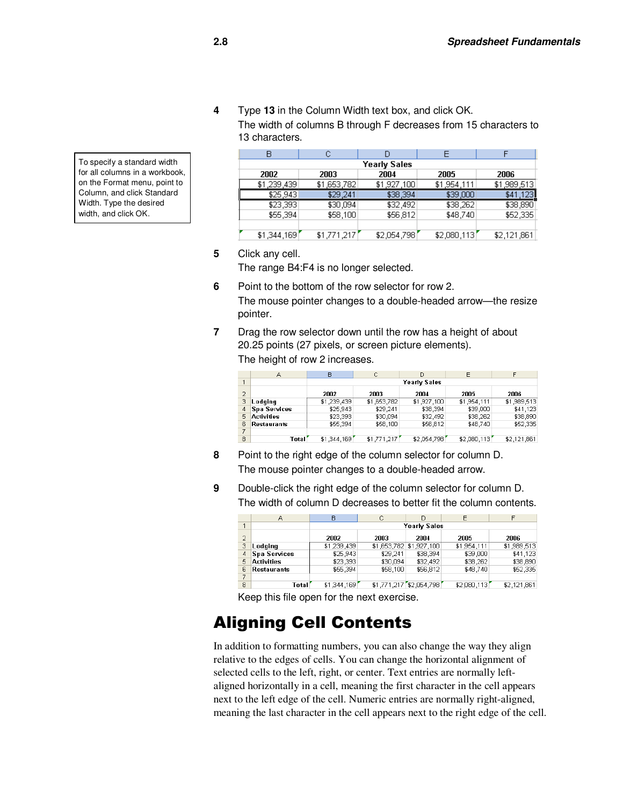**4** Type **13** in the Column Width text box, and click OK. The width of columns B through F decreases from 15 characters to 13 characters.

| 2002        | 2003        | 2004        | 2005         | 2006        |
|-------------|-------------|-------------|--------------|-------------|
| \$1,239,439 | \$1,653,782 | \$1,927,100 | \$1,954,111  | \$1,989,513 |
| \$25,943    | \$29,241    | \$38,394    | \$39,000     | \$41,123    |
| \$23,393    | \$30,094    | \$32,492    | \$38,262     | \$38,890    |
| \$55,394    | \$58,100    | \$56,812    | \$48,740     | \$52,335    |
|             |             |             |              |             |
| \$1,344,169 | \$1,771,217 | \$2,054,798 | \$2,080,113] | \$2,121,861 |

To specify a standard width for all columns in a workbook, on the Format menu, point to Column, and click Standard Width. Type the desired width, and click OK.

**5** Click any cell.

The range B4:F4 is no longer selected.

- **6** Point to the bottom of the row selector for row 2. The mouse pointer changes to a double-headed arrow—the resize pointer.
- **7** Drag the row selector down until the row has a height of about 20.25 points (27 pixels, or screen picture elements). The height of row 2 increases.

|                | А                   | в           | Ċ           |                     | E           |             |
|----------------|---------------------|-------------|-------------|---------------------|-------------|-------------|
| $\mathbf{1}$   |                     |             |             | <b>Yearly Sales</b> |             |             |
| $\overline{2}$ |                     | 2002        | 2003        | 2004                | 2005        | 2006        |
| 3              | Lodging             | \$1,239,439 | \$1,653,782 | \$1,927,100         | \$1,954,111 | \$1,989,513 |
| 4              | <b>Spa Services</b> | \$25,943    | \$29,241    | \$38,394            | \$39,000    | \$41,123    |
| 5.             | <b>Activities</b>   | \$23,393    | \$30,094    | \$32,492            | \$38,262    | \$38,890    |
| 6              | <b>Restaurants</b>  | \$55,394    | \$58,100    | \$56,812            | \$48,740    | \$52,335    |
| 7              |                     |             |             |                     |             |             |
| 8              | Total               | \$1,344,169 | \$1,771,217 | \$2,054,798         | \$2,080,113 | \$2,121,861 |

- **8** Point to the right edge of the column selector for column D. The mouse pointer changes to a double-headed arrow.
- **9** Double-click the right edge of the column selector for column D. The width of column D decreases to better fit the column contents.

|                | А                   | B           | С                       | D                       | E           | F           |
|----------------|---------------------|-------------|-------------------------|-------------------------|-------------|-------------|
|                |                     |             |                         | Yearly Sales            |             |             |
| $\overline{2}$ |                     | 2002        | 2003                    | 2004                    | 2005        | 2006        |
| з              | Lodging             | \$1,239,439 | \$1,653,782 \$1,927,100 |                         | \$1,954,111 | \$1,989,513 |
|                | <b>Spa Services</b> | \$25,943    | \$29.241                | \$38,394                | \$39,000    | \$41,123    |
| 5.             | <b>Activities</b>   | \$23,393    | \$30,094                | \$32,492                | \$38,262    | \$38,890    |
| F.             | <b>Restaurants</b>  | \$55,394    | \$58,100                | \$56,812                | \$48,740    | \$52,335    |
|                |                     |             |                         |                         |             |             |
| 8              | Total               | \$1,344,169 |                         | \$1,771,217 \$2,054,798 | \$2,080,113 | \$2,121,861 |

Keep this file open for the next exercise.

### Aligning Cell Contents

In addition to formatting numbers, you can also change the way they align relative to the edges of cells. You can change the horizontal alignment of selected cells to the left, right, or center. Text entries are normally leftaligned horizontally in a cell, meaning the first character in the cell appears next to the left edge of the cell. Numeric entries are normally right-aligned, meaning the last character in the cell appears next to the right edge of the cell.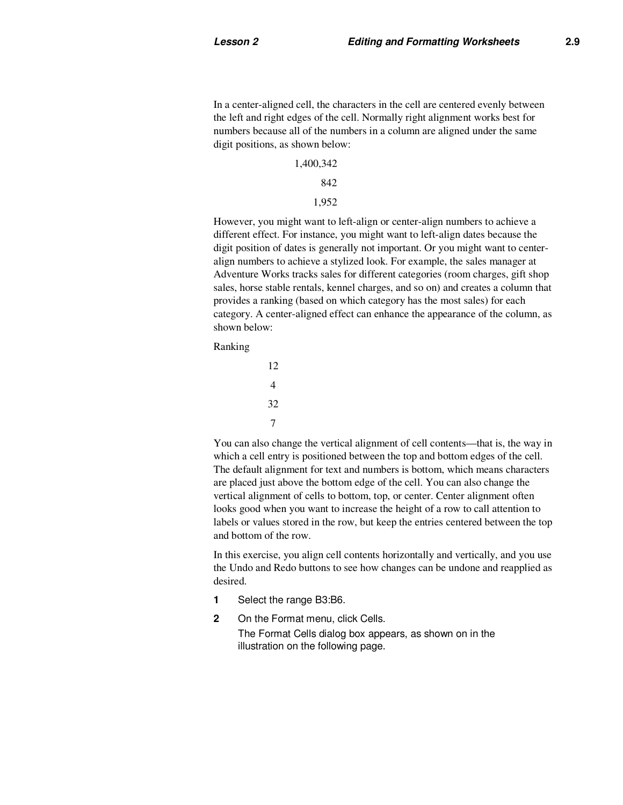In a center-aligned cell, the characters in the cell are centered evenly between the left and right edges of the cell. Normally right alignment works best for numbers because all of the numbers in a column are aligned under the same digit positions, as shown below:

1,400,342

842

1,952

However, you might want to left-align or center-align numbers to achieve a different effect. For instance, you might want to left-align dates because the digit position of dates is generally not important. Or you might want to centeralign numbers to achieve a stylized look. For example, the sales manager at Adventure Works tracks sales for different categories (room charges, gift shop sales, horse stable rentals, kennel charges, and so on) and creates a column that provides a ranking (based on which category has the most sales) for each category. A center-aligned effect can enhance the appearance of the column, as shown below:

Ranking

```
 12 
         4 
         32 
7
```
You can also change the vertical alignment of cell contents—that is, the way in which a cell entry is positioned between the top and bottom edges of the cell. The default alignment for text and numbers is bottom, which means characters are placed just above the bottom edge of the cell. You can also change the vertical alignment of cells to bottom, top, or center. Center alignment often looks good when you want to increase the height of a row to call attention to labels or values stored in the row, but keep the entries centered between the top and bottom of the row.

In this exercise, you align cell contents horizontally and vertically, and you use the Undo and Redo buttons to see how changes can be undone and reapplied as desired.

- **1** Select the range B3:B6.
- **2** On the Format menu, click Cells. The Format Cells dialog box appears, as shown on in the illustration on the following page.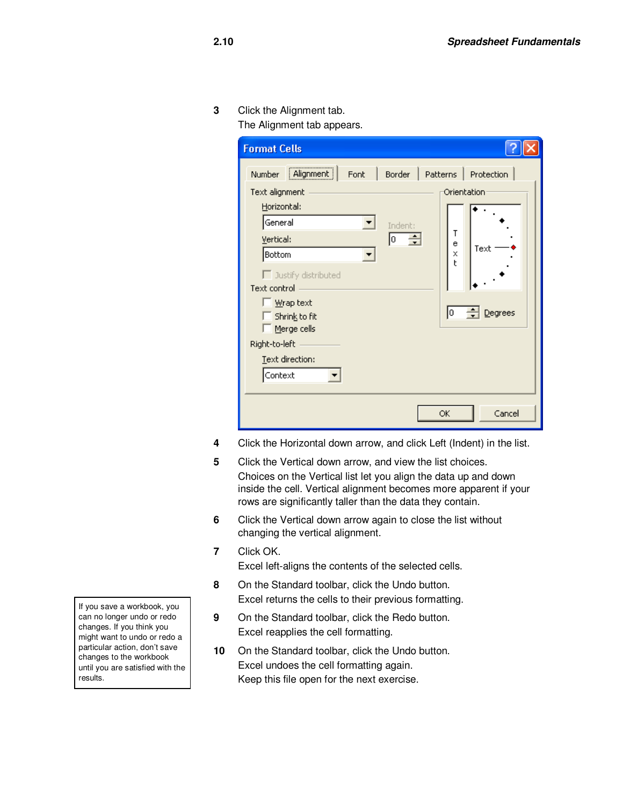**3** Click the Alignment tab.

The Alignment tab appears.

| <b>Format Cells</b>                  |                    |                                |
|--------------------------------------|--------------------|--------------------------------|
| Alignment<br>Number<br>Font          |                    | Border   Patterns   Protection |
| Text alignment<br>Horizontal:        |                    | Orientation                    |
| General<br>Vertical:                 | Indent:<br>÷<br>Iо | т<br>e<br>Text                 |
| Bottom<br>$\Box$ Justify distributed |                    | X<br>ŧ                         |
| Text control<br>Wrap text            |                    |                                |
| Shrink to fit<br>Merge cells         |                    | Degrees<br>Iо                  |
| Right-to-left                        |                    |                                |
| Text direction:<br>Context           |                    |                                |
|                                      |                    | Cancel<br>OK                   |

- **4** Click the Horizontal down arrow, and click Left (Indent) in the list.
- **5** Click the Vertical down arrow, and view the list choices. Choices on the Vertical list let you align the data up and down inside the cell. Vertical alignment becomes more apparent if your rows are significantly taller than the data they contain.
- **6** Click the Vertical down arrow again to close the list without changing the vertical alignment.
- **7** Click OK.
	- Excel left-aligns the contents of the selected cells.
- **8** On the Standard toolbar, click the Undo button. Excel returns the cells to their previous formatting.
- **9** On the Standard toolbar, click the Redo button. Excel reapplies the cell formatting.
- **10** On the Standard toolbar, click the Undo button. Excel undoes the cell formatting again. Keep this file open for the next exercise.

If you save a workbook, you can no longer undo or redo changes. If you think you might want to undo or redo a particular action, don't save changes to the workbook until you are satisfied with the results.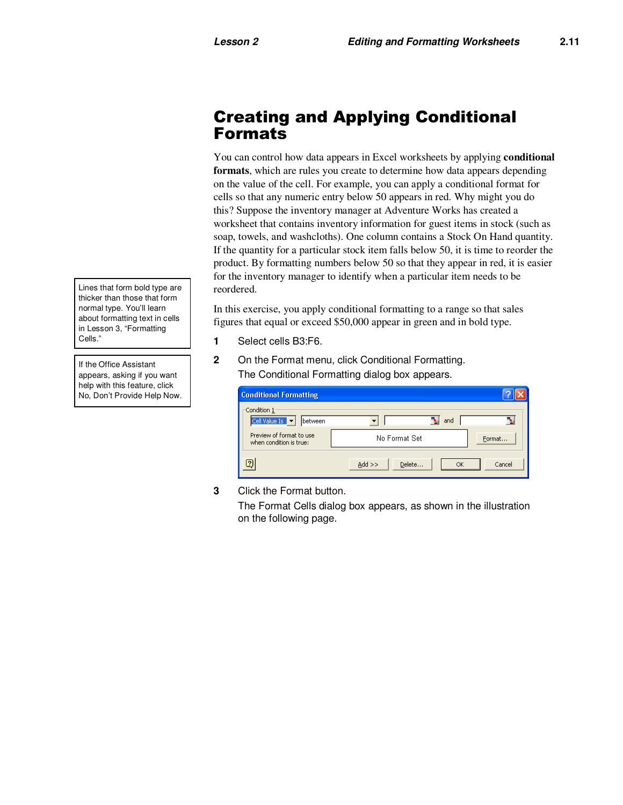### Creating and Applying Conditional Formats

You can control how data appears in Excel worksheets by applying **conditional formats**, which are rules you create to determine how data appears depending on the value of the cell. For example, you can apply a conditional format for cells so that any numeric entry below 50 appears in red. Why might you do this? Suppose the inventory manager at Adventure Works has created a worksheet that contains inventory information for guest items in stock (such as soap, towels, and washcloths). One column contains a Stock On Hand quantity. If the quantity for a particular stock item falls below 50, it is time to reorder the product. By formatting numbers below 50 so that they appear in red, it is easier for the inventory manager to identify when a particular item needs to be reordered.

In this exercise, you apply conditional formatting to a range so that sales figures that equal or exceed \$50,000 appear in green and in bold type.

- **1** Select cells B3:F6.
- **2** On the Format menu, click Conditional Formatting. The Conditional Formatting dialog box appears.

| <b>Conditional Formatting</b>                       |                          |        |
|-----------------------------------------------------|--------------------------|--------|
| Condition 1-<br>Cell Value Is v<br>between          | and                      |        |
| Preview of format to use<br>when condition is true: | No Format Set            | Format |
| $\bigcirc$                                          | $Add$ >><br>Delete<br>OK | Cancel |

**3** Click the Format button.

The Format Cells dialog box appears, as shown in the illustration on the following page.

Lines that form bold type are thicker than those that form normal type. You'll learn about formatting text in cells in Lesson 3, "Formatting Cells."

If the Office Assistant appears, asking if you want help with this feature, click No, Don't Provide Help Now.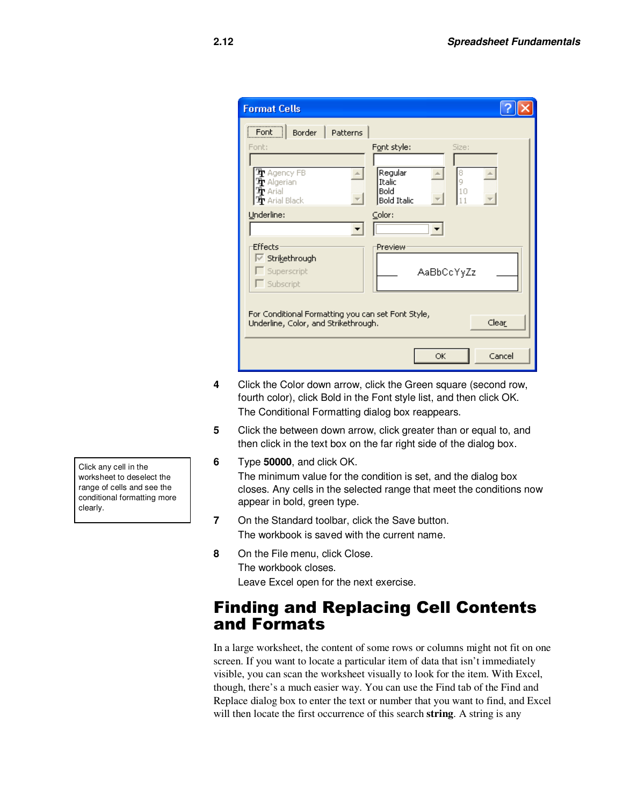| <b>Format Cells</b>                                                                               |                                                       |
|---------------------------------------------------------------------------------------------------|-------------------------------------------------------|
| Font<br>Border   Patterns                                                                         |                                                       |
| Font:                                                                                             | Font style:<br>Size:                                  |
| The Agency FB<br>$\mathbf{\Psi}$ Algerian<br>$\mathbf{\Psi}$ Arial<br>$\mathbf{\Psi}$ Arial Black | Regular<br>Italic<br>Bold<br>10<br><b>Bold Italic</b> |
| Underline:                                                                                        | Color:                                                |
| Effects<br><b>▽ Strikethrough</b><br>$\Box$ Superscript<br>$\Gamma$ Subscript                     | Preview<br>AaBbCcYyZz                                 |
| For Conditional Formatting you can set Font Style,<br>Underline, Color, and Strikethrough.        | Clear                                                 |
|                                                                                                   | Cancel<br>OK                                          |

- **4** Click the Color down arrow, click the Green square (second row, fourth color), click Bold in the Font style list, and then click OK. The Conditional Formatting dialog box reappears.
- **5** Click the between down arrow, click greater than or equal to, and then click in the text box on the far right side of the dialog box.
- **6** Type **50000**, and click OK. The minimum value for the condition is set, and the dialog box closes. Any cells in the selected range that meet the conditions now appear in bold, green type.
- **7** On the Standard toolbar, click the Save button. The workbook is saved with the current name.
- **8** On the File menu, click Close. The workbook closes. Leave Excel open for the next exercise.

### Finding and Replacing Cell Contents and Formats

In a large worksheet, the content of some rows or columns might not fit on one screen. If you want to locate a particular item of data that isn't immediately visible, you can scan the worksheet visually to look for the item. With Excel, though, there's a much easier way. You can use the Find tab of the Find and Replace dialog box to enter the text or number that you want to find, and Excel will then locate the first occurrence of this search **string**. A string is any

Click any cell in the worksheet to deselect the range of cells and see the conditional formatting more clearly.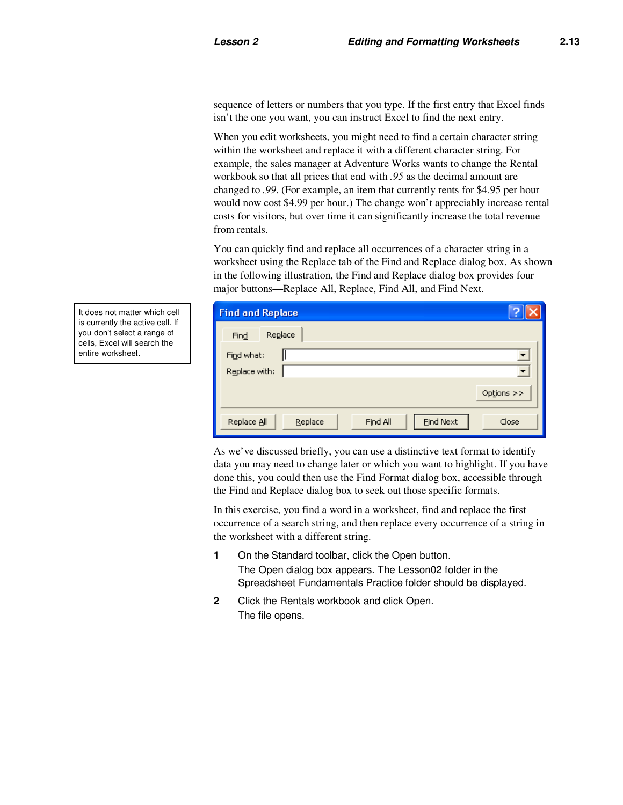sequence of letters or numbers that you type. If the first entry that Excel finds isn't the one you want, you can instruct Excel to find the next entry.

When you edit worksheets, you might need to find a certain character string within the worksheet and replace it with a different character string. For example, the sales manager at Adventure Works wants to change the Rental workbook so that all prices that end with *.95* as the decimal amount are changed to *.99*. (For example, an item that currently rents for \$4.95 per hour would now cost \$4.99 per hour.) The change won't appreciably increase rental costs for visitors, but over time it can significantly increase the total revenue from rentals.

You can quickly find and replace all occurrences of a character string in a worksheet using the Replace tab of the Find and Replace dialog box. As shown in the following illustration, the Find and Replace dialog box provides four major buttons—Replace All, Replace, Find All, and Find Next.

| <b>Find and Replace</b> |                                         |            |
|-------------------------|-----------------------------------------|------------|
| Replace<br>Find         |                                         |            |
| Find what:              |                                         |            |
| Replace with:           |                                         | Options >> |
|                         |                                         |            |
| Replace All             | <b>Eind Next</b><br>Find All<br>Replace | Close      |

As we've discussed briefly, you can use a distinctive text format to identify data you may need to change later or which you want to highlight. If you have done this, you could then use the Find Format dialog box, accessible through the Find and Replace dialog box to seek out those specific formats.

In this exercise, you find a word in a worksheet, find and replace the first occurrence of a search string, and then replace every occurrence of a string in the worksheet with a different string.

- **1** On the Standard toolbar, click the Open button. The Open dialog box appears. The Lesson02 folder in the Spreadsheet Fundamentals Practice folder should be displayed.
- **2** Click the Rentals workbook and click Open. The file opens.

It does not matter which cell is currently the active cell. If you don't select a range of cells, Excel will search the entire worksheet.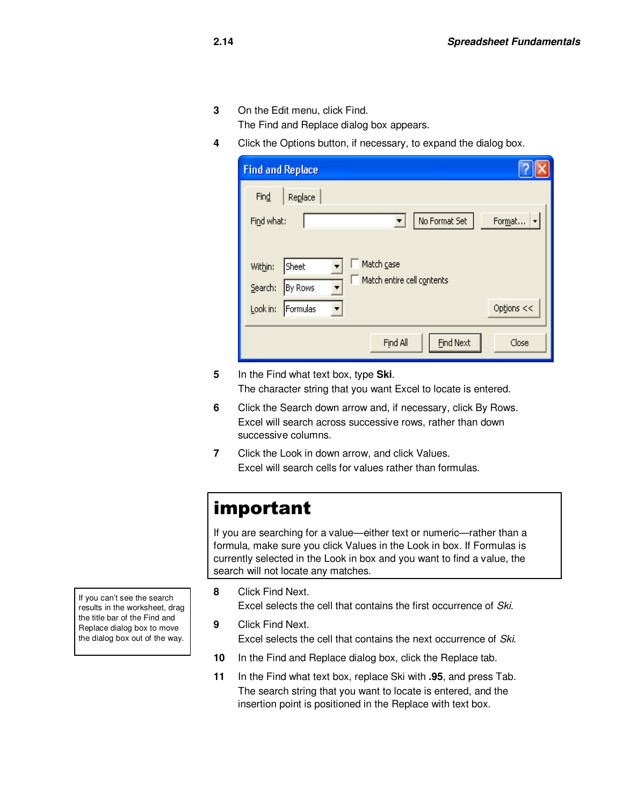**3** On the Edit menu, click Find.

The Find and Replace dialog box appears.

**4** Click the Options button, if necessary, to expand the dialog box.

| <b>Find and Replace</b> |                                       |
|-------------------------|---------------------------------------|
| Find<br>Replace         |                                       |
| Find what:              | No Format Set<br>Format               |
|                         |                                       |
| Sheet<br>Within:        | Match case                            |
| Search:<br>By Rows      | Match entire cell contents            |
| Look in:<br>Formulas    | Options <<                            |
|                         |                                       |
|                         | <b>Find Next</b><br>Find All<br>Close |

**5** In the Find what text box, type **Ski**. The character string that you want Excel to locate is entered.

- **6** Click the Search down arrow and, if necessary, click By Rows. Excel will search across successive rows, rather than down successive columns.
- **7** Click the Look in down arrow, and click Values. Excel will search cells for values rather than formulas.

## important

If you are searching for a value—either text or numeric—rather than a formula, make sure you click Values in the Look in box. If Formulas is currently selected in the Look in box and you want to find a value, the search will not locate any matches.

If you can't see the search results in the worksheet, drag the title bar of the Find and Replace dialog box to move the dialog box out of the way.

**8** Click Find Next.

Excel selects the cell that contains the first occurrence of Ski.

- **9** Click Find Next. Excel selects the cell that contains the next occurrence of Ski.
- **10** In the Find and Replace dialog box, click the Replace tab.
- **11** In the Find what text box, replace Ski with **.95**, and press Tab. The search string that you want to locate is entered, and the insertion point is positioned in the Replace with text box.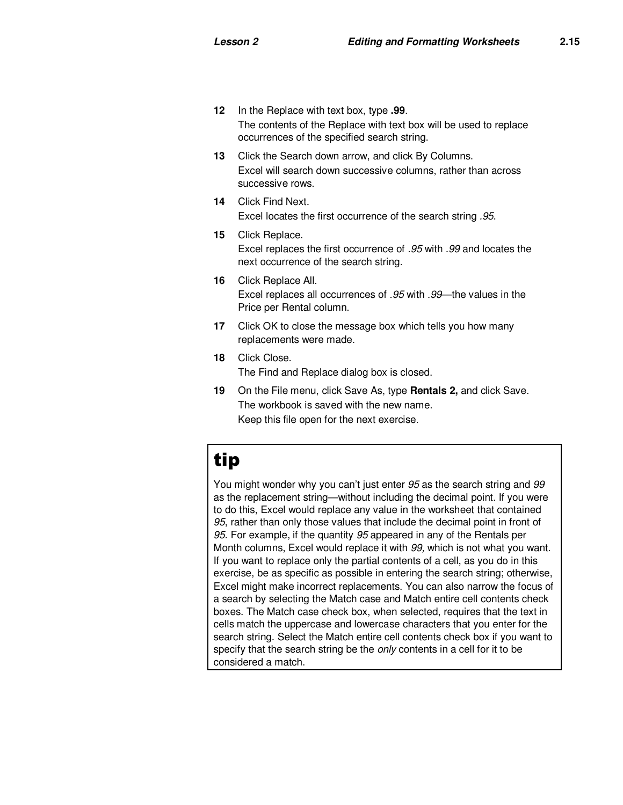- **12** In the Replace with text box, type **.99**. The contents of the Replace with text box will be used to replace occurrences of the specified search string.
- **13** Click the Search down arrow, and click By Columns. Excel will search down successive columns, rather than across successive rows.
- **14** Click Find Next. Excel locates the first occurrence of the search string .95.
- **15** Click Replace. Excel replaces the first occurrence of .95 with .99 and locates the next occurrence of the search string.
- **16** Click Replace All. Excel replaces all occurrences of .95 with .99—the values in the Price per Rental column.
- **17** Click OK to close the message box which tells you how many replacements were made.
- **18** Click Close. The Find and Replace dialog box is closed.
- **19** On the File menu, click Save As, type **Rentals 2,** and click Save. The workbook is saved with the new name. Keep this file open for the next exercise.

## tip

You might wonder why you can't just enter 95 as the search string and 99 as the replacement string—without including the decimal point. If you were to do this, Excel would replace any value in the worksheet that contained 95, rather than only those values that include the decimal point in front of 95. For example, if the quantity 95 appeared in any of the Rentals per Month columns, Excel would replace it with 99, which is not what you want. If you want to replace only the partial contents of a cell, as you do in this exercise, be as specific as possible in entering the search string; otherwise, Excel might make incorrect replacements. You can also narrow the focus of a search by selecting the Match case and Match entire cell contents check boxes. The Match case check box, when selected, requires that the text in cells match the uppercase and lowercase characters that you enter for the search string. Select the Match entire cell contents check box if you want to specify that the search string be the *only* contents in a cell for it to be considered a match.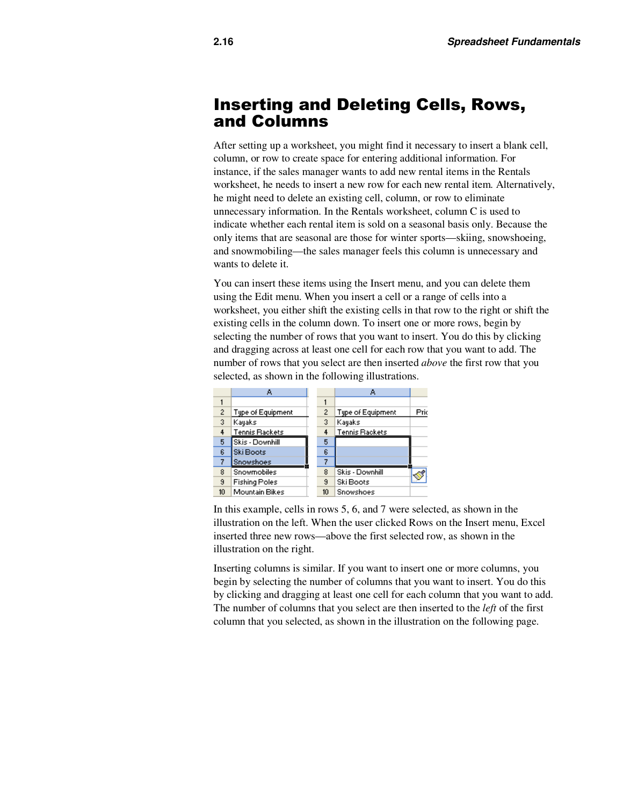#### Inserting and Deleting Cells, Rows, and Columns

After setting up a worksheet, you might find it necessary to insert a blank cell, column, or row to create space for entering additional information. For instance, if the sales manager wants to add new rental items in the Rentals worksheet, he needs to insert a new row for each new rental item. Alternatively, he might need to delete an existing cell, column, or row to eliminate unnecessary information. In the Rentals worksheet, column C is used to indicate whether each rental item is sold on a seasonal basis only. Because the only items that are seasonal are those for winter sports—skiing, snowshoeing, and snowmobiling—the sales manager feels this column is unnecessary and wants to delete it.

You can insert these items using the Insert menu, and you can delete them using the Edit menu. When you insert a cell or a range of cells into a worksheet, you either shift the existing cells in that row to the right or shift the existing cells in the column down. To insert one or more rows, begin by selecting the number of rows that you want to insert. You do this by clicking and dragging across at least one cell for each row that you want to add. The number of rows that you select are then inserted *above* the first row that you selected, as shown in the following illustrations.



In this example, cells in rows 5, 6, and 7 were selected, as shown in the illustration on the left. When the user clicked Rows on the Insert menu, Excel inserted three new rows—above the first selected row, as shown in the illustration on the right.

Inserting columns is similar. If you want to insert one or more columns, you begin by selecting the number of columns that you want to insert. You do this by clicking and dragging at least one cell for each column that you want to add. The number of columns that you select are then inserted to the *left* of the first column that you selected, as shown in the illustration on the following page.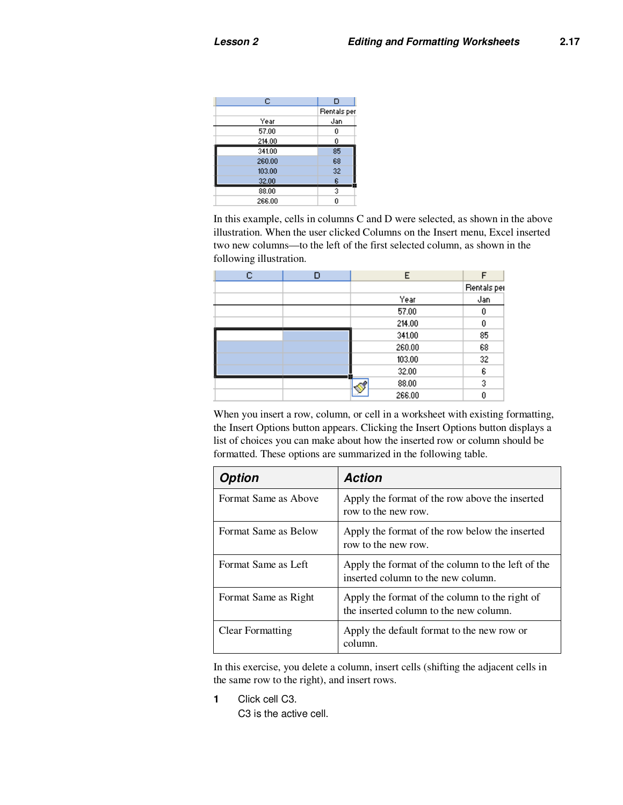| c      | D           |
|--------|-------------|
|        | Rentals per |
| Year   | Jan         |
| 57.00  | 0           |
| 214.00 | 0           |
| 341.00 | 85          |
| 260.00 | 68          |
| 103.00 | 32          |
| 32.00  | 6           |
| 88.00  | 3           |
| 266.00 | 0           |

In this example, cells in columns C and D were selected, as shown in the above illustration. When the user clicked Columns on the Insert menu, Excel inserted two new columns—to the left of the first selected column, as shown in the following illustration.

| c | Е      | F           |
|---|--------|-------------|
|   |        | Rentals per |
|   | Year   | Jan         |
|   | 57.00  |             |
|   | 214.00 | Ū           |
|   | 341.00 | 85          |
|   | 260.00 | 68          |
|   | 103.00 | 32          |
|   | 32.00  | 6           |
|   | 88.00  | 3           |
|   | 266.00 |             |

When you insert a row, column, or cell in a worksheet with existing formatting, the Insert Options button appears. Clicking the Insert Options button displays a list of choices you can make about how the inserted row or column should be formatted. These options are summarized in the following table.

| Option               | <b>Action</b>                                                                            |
|----------------------|------------------------------------------------------------------------------------------|
| Format Same as Above | Apply the format of the row above the inserted<br>row to the new row.                    |
| Format Same as Below | Apply the format of the row below the inserted<br>row to the new row.                    |
| Format Same as Left  | Apply the format of the column to the left of the<br>inserted column to the new column.  |
| Format Same as Right | Apply the format of the column to the right of<br>the inserted column to the new column. |
| Clear Formatting     | Apply the default format to the new row or<br>column.                                    |

In this exercise, you delete a column, insert cells (shifting the adjacent cells in the same row to the right), and insert rows.

**1** Click cell C3.

C3 is the active cell.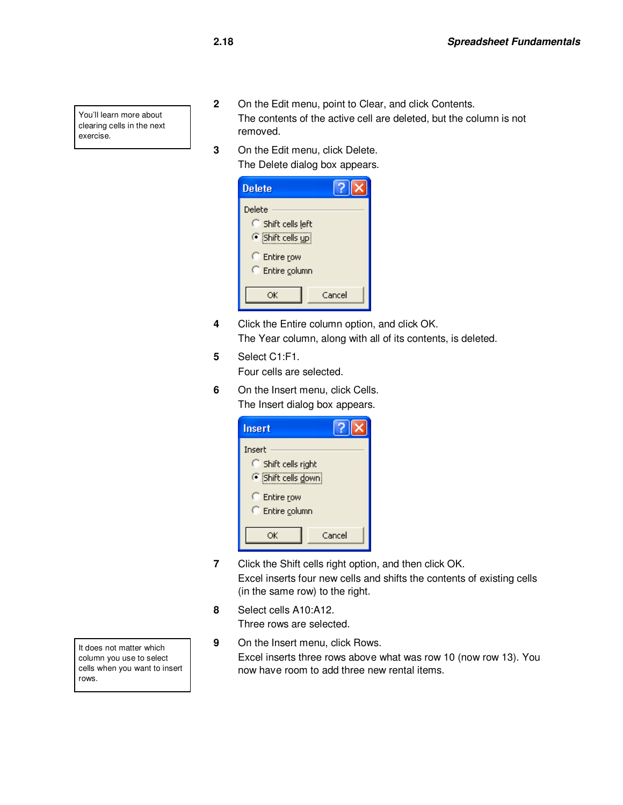You'll learn more about clearing cells in the next exercise.

- **2** On the Edit menu, point to Clear, and click Contents. The contents of the active cell are deleted, but the column is not removed.
- **3** On the Edit menu, click Delete. The Delete dialog box appears.

| <b>Delete</b>                                  |        |
|------------------------------------------------|--------|
| Delete<br>Shift cells left<br>6 Shift cells up |        |
| <b>C</b> Entire row<br>C Entire column         |        |
| ОK                                             | Cancel |

- **4** Click the Entire column option, and click OK. The Year column, along with all of its contents, is deleted.
- **5** Select C1:F1.

Four cells are selected.

**6** On the Insert menu, click Cells. The Insert dialog box appears.

| <b>Insert</b>                                   |        |  |  |  |  |  |  |
|-------------------------------------------------|--------|--|--|--|--|--|--|
| Insert<br>Shift cells right<br>Shift cells down |        |  |  |  |  |  |  |
| C Entire row<br>C Entire column                 |        |  |  |  |  |  |  |
| OК                                              | Cancel |  |  |  |  |  |  |

- **7** Click the Shift cells right option, and then click OK. Excel inserts four new cells and shifts the contents of existing cells (in the same row) to the right.
- **8** Select cells A10:A12. Three rows are selected.
- **9** On the Insert menu, click Rows. Excel inserts three rows above what was row 10 (now row 13). You now have room to add three new rental items.

It does not matter which column you use to select cells when you want to insert rows.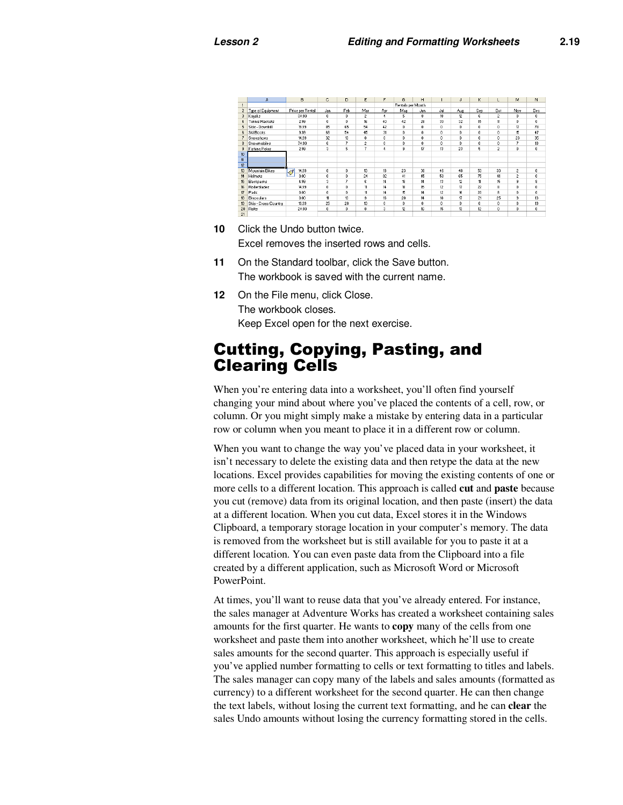|                | A                    | B                                 | c            | D                   | E              | F            | G                 | Н                   |     | J            | Κ                   | L                   | м              | N                |
|----------------|----------------------|-----------------------------------|--------------|---------------------|----------------|--------------|-------------------|---------------------|-----|--------------|---------------------|---------------------|----------------|------------------|
|                |                      |                                   |              |                     |                |              | Rentals per Month |                     |     |              |                     |                     |                |                  |
|                | Type of Equipment    | Price per Rental                  | Jan          | Feb                 | Mar            | Apr          | Mag               | Jun                 | Jul | Aug          | Sep                 | Oct                 | Nov            | Dec              |
|                | Kayaks               | 34.99                             | 0            | $\mathbf{0}$        | $\overline{c}$ | 4            | 5                 | 8                   | 18  | 12           | g.                  | $\overline{c}$      | 0              | 0                |
|                | Tennis Rackets       | 2.99                              | $\theta$     | $\theta$            | 16             | 40           | 42                | 28                  | 30  | 32           | 15                  | 11                  | 0              | 0                |
|                | Skis - Downhill      | 19.99                             | 85           | 65                  | 54             | 42           | $\mathbf{0}$      | $\ddot{\mathbf{0}}$ | 0   | $\bf{0}$     | $\ddot{\mathbf{0}}$ | $\ddot{\mathbf{0}}$ | 17             | 78               |
|                | Ski Boots            | 9.99                              | 68           | 54                  | 45             | 31           | $\mathbf{0}$      | $\bf{0}$            | 0   | 0            | $\bf{0}$            | $\ddot{\mathbf{0}}$ | 15             | 47               |
|                | Snowshoes            | 14.99                             | 32           | 13                  | $\theta$       | $\mathbf{0}$ | $\mathbf{0}$      | $\theta$            | 0   | $\mathbf{0}$ | $\bf{0}$            | $\mathbf{0}$        | 23             | 35               |
|                | Snowmobiles          | 74.99                             | 6            | 7                   | $\overline{c}$ | 0            | $\mathbf{0}$      | $\theta$            | 0   | 0            | $\bf{0}$            | 0                   | 7              | 10 <sup>10</sup> |
|                | <b>Fishing Poles</b> | 2.99                              | 3            | 5                   | 7              | $\ddotmark$  | 9                 | 17                  | 13  | 23           | 5                   | $\overline{2}$      | 0              | 0                |
|                |                      |                                   |              |                     |                |              |                   |                     |     |              |                     |                     |                |                  |
|                |                      |                                   |              |                     |                |              |                   |                     |     |              |                     |                     |                |                  |
|                |                      |                                   |              |                     |                |              |                   |                     |     |              |                     |                     |                |                  |
|                | Mountain Bikes       | 14.99<br>$\overline{\mathcal{S}}$ | $\bf{0}$     | $\bf{0}$            | 13             | 18           | 23                | 30                  | 46  | 48           | 53                  | 33                  | $\overline{c}$ | 0                |
|                | Helmets              | 0.00                              | $\mathbf{0}$ | $\mathbf{0}$        | $^{24}$        | 32           | 41                | 45                  | 58  | 65           | 75                  | 41                  | $\overline{c}$ | 0                |
|                | Backpacks            | 4.99                              | 3            | 7                   | 6              | 14           | 18                | 14                  | 13  | 12           | $\mathbf{11}$       | 15                  | 9              | 8                |
|                | Rollerblades         | 14.99                             | $\bf{0}$     | $\ddot{\mathbf{0}}$ | 11             | 14           | 18                | 15                  | 12  | 17           | 22                  | 8                   | 0              | $\mathbf 0$      |
|                | Pads                 | 0.00                              | $\mathbf{0}$ | $\mathbf{0}$        | 11             | 14           | 15                | 14                  | 12  | 16           | 20                  | 8                   | 0              | $\mathbf{0}$     |
|                | Binoculars           | 0.00                              | 11           | 13                  | 9              | 16           | 20                | 14                  | 18  | 17           | 21                  | 25                  | s              | 13               |
|                | Skis - Cross Country | 19.99                             | 25           | 28                  | 13             | $\theta$     | $\mathbf{0}$      | $\theta$            | n   | $\bf{0}$     | $\bf{0}$            | n.                  | 8              | 19               |
| ň              | Rafts                | 24.99                             | $\bf{0}$     | $\mathbf{0}$        | $\bf{0}$       | 3            | 12                | 16                  | 15  | 13           | 12                  | $\ddot{\mathbf{0}}$ | 0              | 0                |
| $\blacksquare$ |                      |                                   |              |                     |                |              |                   |                     |     |              |                     |                     |                |                  |

- **10** Click the Undo button twice. Excel removes the inserted rows and cells.
- **11** On the Standard toolbar, click the Save button. The workbook is saved with the current name.
- **12** On the File menu, click Close. The workbook closes. Keep Excel open for the next exercise.

### Cutting, Copying, Pasting, and Clearing Cells

When you're entering data into a worksheet, you'll often find yourself changing your mind about where you've placed the contents of a cell, row, or column. Or you might simply make a mistake by entering data in a particular row or column when you meant to place it in a different row or column.

When you want to change the way you've placed data in your worksheet, it isn't necessary to delete the existing data and then retype the data at the new locations. Excel provides capabilities for moving the existing contents of one or more cells to a different location. This approach is called **cut** and **paste** because you cut (remove) data from its original location, and then paste (insert) the data at a different location. When you cut data, Excel stores it in the Windows Clipboard, a temporary storage location in your computer's memory. The data is removed from the worksheet but is still available for you to paste it at a different location. You can even paste data from the Clipboard into a file created by a different application, such as Microsoft Word or Microsoft PowerPoint.

At times, you'll want to reuse data that you've already entered. For instance, the sales manager at Adventure Works has created a worksheet containing sales amounts for the first quarter. He wants to **copy** many of the cells from one worksheet and paste them into another worksheet, which he'll use to create sales amounts for the second quarter. This approach is especially useful if you've applied number formatting to cells or text formatting to titles and labels. The sales manager can copy many of the labels and sales amounts (formatted as currency) to a different worksheet for the second quarter. He can then change the text labels, without losing the current text formatting, and he can **clear** the sales Undo amounts without losing the currency formatting stored in the cells.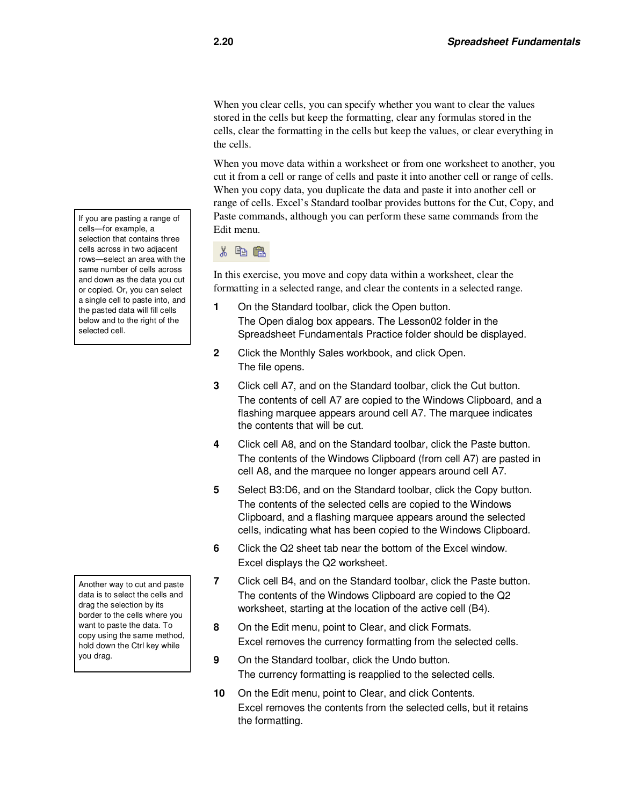When you clear cells, you can specify whether you want to clear the values stored in the cells but keep the formatting, clear any formulas stored in the cells, clear the formatting in the cells but keep the values, or clear everything in the cells.

When you move data within a worksheet or from one worksheet to another, you cut it from a cell or range of cells and paste it into another cell or range of cells. When you copy data, you duplicate the data and paste it into another cell or range of cells. Excel's Standard toolbar provides buttons for the Cut, Copy, and Paste commands, although you can perform these same commands from the Edit menu.

#### 人名虎

In this exercise, you move and copy data within a worksheet, clear the formatting in a selected range, and clear the contents in a selected range.

- **1** On the Standard toolbar, click the Open button. The Open dialog box appears. The Lesson02 folder in the Spreadsheet Fundamentals Practice folder should be displayed.
- **2** Click the Monthly Sales workbook, and click Open. The file opens.
- **3** Click cell A7, and on the Standard toolbar, click the Cut button. The contents of cell A7 are copied to the Windows Clipboard, and a flashing marquee appears around cell A7. The marquee indicates the contents that will be cut.
- **4** Click cell A8, and on the Standard toolbar, click the Paste button. The contents of the Windows Clipboard (from cell A7) are pasted in cell A8, and the marquee no longer appears around cell A7.
- **5** Select B3:D6, and on the Standard toolbar, click the Copy button. The contents of the selected cells are copied to the Windows Clipboard, and a flashing marquee appears around the selected cells, indicating what has been copied to the Windows Clipboard.
- **6** Click the Q2 sheet tab near the bottom of the Excel window. Excel displays the Q2 worksheet.
- **7** Click cell B4, and on the Standard toolbar, click the Paste button. The contents of the Windows Clipboard are copied to the Q2 worksheet, starting at the location of the active cell (B4).
- **8** On the Edit menu, point to Clear, and click Formats. Excel removes the currency formatting from the selected cells.
- **9** On the Standard toolbar, click the Undo button. The currency formatting is reapplied to the selected cells.
- **10** On the Edit menu, point to Clear, and click Contents. Excel removes the contents from the selected cells, but it retains the formatting.

If you are pasting a range of cells—for example, a selection that contains three cells across in two adjacent rows—select an area with the same number of cells across and down as the data you cut or copied. Or, you can select a single cell to paste into, and the pasted data will fill cells below and to the right of the selected cell.

Another way to cut and paste data is to select the cells and drag the selection by its border to the cells where you want to paste the data. To copy using the same method, hold down the Ctrl key while you drag.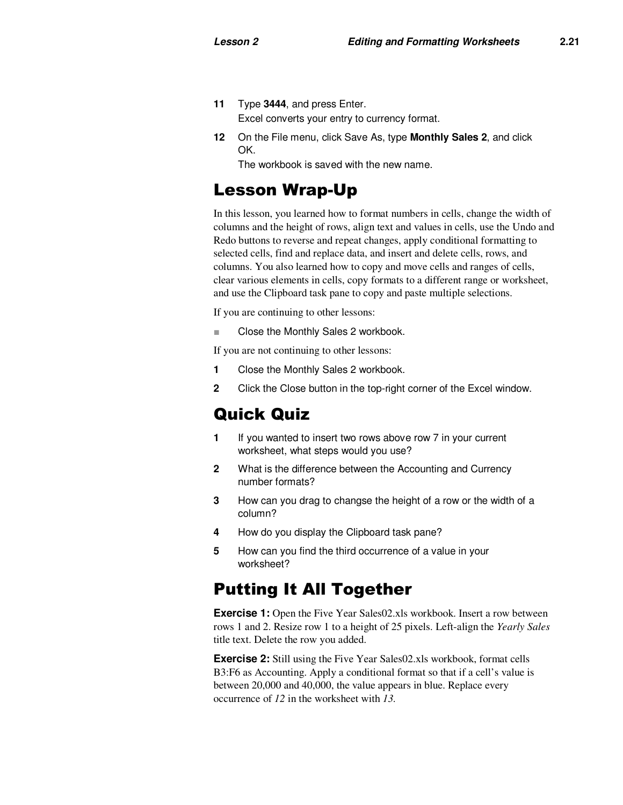- **11** Type **3444**, and press Enter. Excel converts your entry to currency format.
- **12** On the File menu, click Save As, type **Monthly Sales 2**, and click OK.

The workbook is saved with the new name.

### Lesson Wrap-Up

In this lesson, you learned how to format numbers in cells, change the width of columns and the height of rows, align text and values in cells, use the Undo and Redo buttons to reverse and repeat changes, apply conditional formatting to selected cells, find and replace data, and insert and delete cells, rows, and columns. You also learned how to copy and move cells and ranges of cells, clear various elements in cells, copy formats to a different range or worksheet, and use the Clipboard task pane to copy and paste multiple selections.

If you are continuing to other lessons:

Close the Monthly Sales 2 workbook.

If you are not continuing to other lessons:

- **1** Close the Monthly Sales 2 workbook.
- **2** Click the Close button in the top-right corner of the Excel window.

### Quick Quiz

- **1** If you wanted to insert two rows above row 7 in your current worksheet, what steps would you use?
- **2** What is the difference between the Accounting and Currency number formats?
- **3** How can you drag to changse the height of a row or the width of a column?
- **4** How do you display the Clipboard task pane?
- **5** How can you find the third occurrence of a value in your worksheet?

### Putting It All Together

**Exercise 1:** Open the Five Year Sales02.xls workbook. Insert a row between rows 1 and 2. Resize row 1 to a height of 25 pixels. Left-align the *Yearly Sales* title text. Delete the row you added.

**Exercise 2:** Still using the Five Year Sales02.xls workbook, format cells B3:F6 as Accounting. Apply a conditional format so that if a cell's value is between 20,000 and 40,000, the value appears in blue. Replace every occurrence of *12* in the worksheet with *13.*